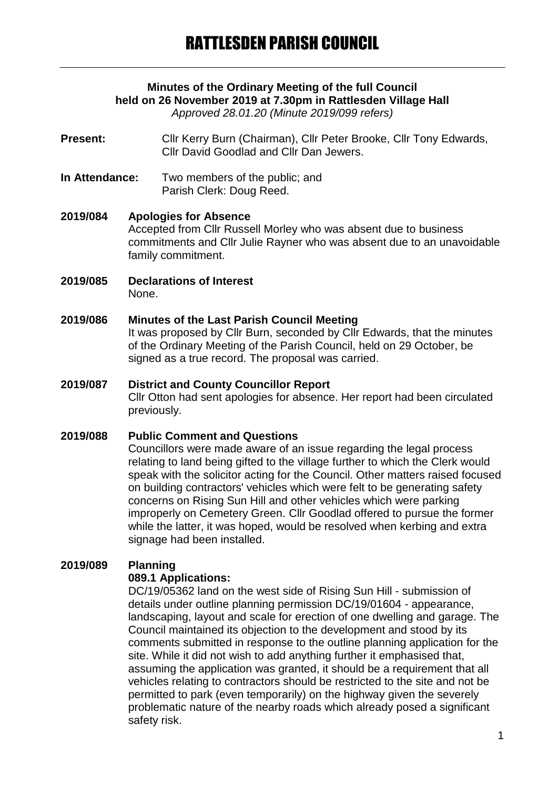## **Minutes of the Ordinary Meeting of the full Council held on 26 November 2019 at 7.30pm in Rattlesden Village Hall**

*Approved 28.01.20 (Minute 2019/099 refers)*

- **Present:** Cllr Kerry Burn (Chairman), Cllr Peter Brooke, Cllr Tony Edwards, Cllr David Goodlad and Cllr Dan Jewers.
- **In Attendance:** Two members of the public; and Parish Clerk: Doug Reed.
- **2019/084 Apologies for Absence** Accepted from Cllr Russell Morley who was absent due to business commitments and Cllr Julie Rayner who was absent due to an unavoidable family commitment.
- **2019/085 Declarations of Interest** None.

#### **2019/086 Minutes of the Last Parish Council Meeting**

It was proposed by Cllr Burn, seconded by Cllr Edwards, that the minutes of the Ordinary Meeting of the Parish Council, held on 29 October, be signed as a true record. The proposal was carried.

# **2019/087 District and County Councillor Report** Cllr Otton had sent apologies for absence. Her report had been circulated previously.

#### **2019/088 Public Comment and Questions**

Councillors were made aware of an issue regarding the legal process relating to land being gifted to the village further to which the Clerk would speak with the solicitor acting for the Council. Other matters raised focused on building contractors' vehicles which were felt to be generating safety concerns on Rising Sun Hill and other vehicles which were parking improperly on Cemetery Green. Cllr Goodlad offered to pursue the former while the latter, it was hoped, would be resolved when kerbing and extra signage had been installed.

#### **2019/089 Planning**

#### **089.1 Applications:**

DC/19/05362 land on the west side of Rising Sun Hill - submission of details under outline planning permission DC/19/01604 - appearance, landscaping, layout and scale for erection of one dwelling and garage. The Council maintained its objection to the development and stood by its comments submitted in response to the outline planning application for the site. While it did not wish to add anything further it emphasised that, assuming the application was granted, it should be a requirement that all vehicles relating to contractors should be restricted to the site and not be permitted to park (even temporarily) on the highway given the severely problematic nature of the nearby roads which already posed a significant safety risk.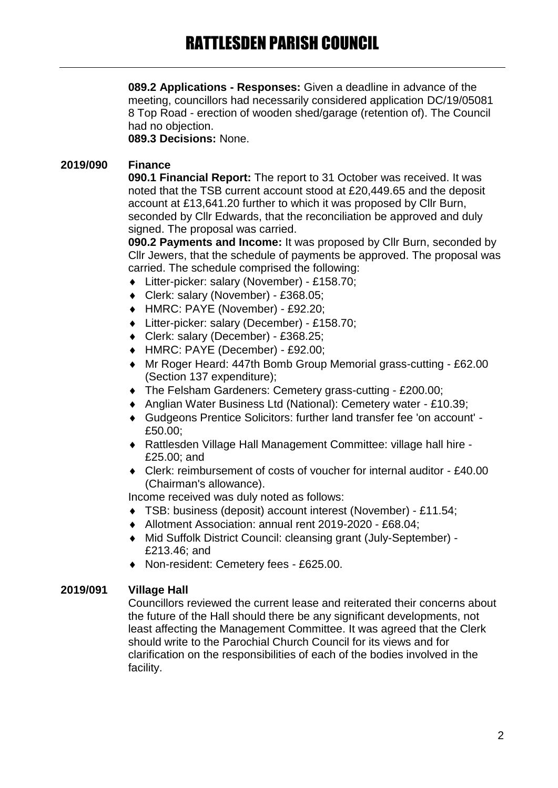**089.2 Applications - Responses:** Given a deadline in advance of the meeting, councillors had necessarily considered application DC/19/05081 8 Top Road - erection of wooden shed/garage (retention of). The Council had no objection.

**089.3 Decisions:** None.

#### **2019/090 Finance**

**090.1 Financial Report:** The report to 31 October was received. It was noted that the TSB current account stood at £20,449.65 and the deposit account at £13,641.20 further to which it was proposed by Cllr Burn, seconded by Cllr Edwards, that the reconciliation be approved and duly signed. The proposal was carried.

**090.2 Payments and Income:** It was proposed by Cllr Burn, seconded by Cllr Jewers, that the schedule of payments be approved. The proposal was carried. The schedule comprised the following:

- Litter-picker: salary (November) £158.70;
- Clerk: salary (November) £368.05;
- HMRC: PAYE (November) £92.20;
- Litter-picker: salary (December) £158.70;
- Clerk: salary (December) £368.25;
- HMRC: PAYE (December) £92.00;
- Mr Roger Heard: 447th Bomb Group Memorial grass-cutting £62.00 (Section 137 expenditure);
- The Felsham Gardeners: Cemetery grass-cutting £200.00;
- Anglian Water Business Ltd (National): Cemetery water £10.39;
- Gudgeons Prentice Solicitors: further land transfer fee 'on account' £50.00;
- Rattlesden Village Hall Management Committee: village hall hire £25.00; and
- Clerk: reimbursement of costs of voucher for internal auditor £40.00 (Chairman's allowance).

Income received was duly noted as follows:

- TSB: business (deposit) account interest (November) £11.54;
- Allotment Association: annual rent 2019-2020 £68.04;
- Mid Suffolk District Council: cleansing grant (July-September) £213.46; and
- Non-resident: Cemetery fees £625.00.

#### **2019/091 Village Hall**

Councillors reviewed the current lease and reiterated their concerns about the future of the Hall should there be any significant developments, not least affecting the Management Committee. It was agreed that the Clerk should write to the Parochial Church Council for its views and for clarification on the responsibilities of each of the bodies involved in the facility.